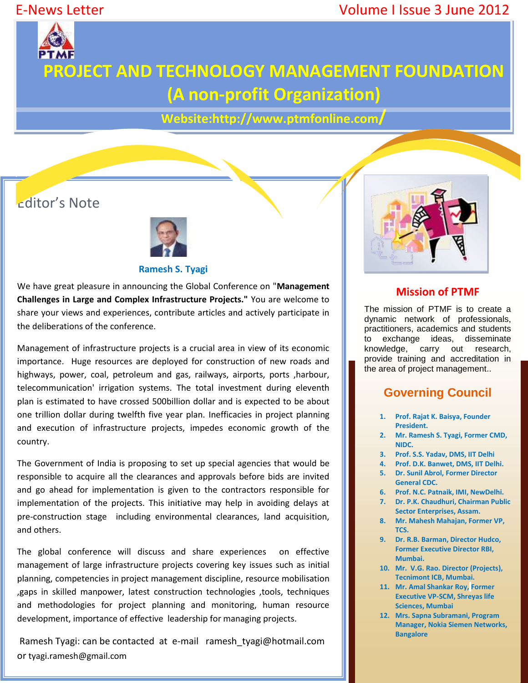# E-News Letter Volume I Issue 3 June 2012



# **PROJECT AND TECHNOLOGY MANAGEMENT FOUNDATION (A non-profit Organization)**

**Website:http://www.ptmfonline.com/**

# Editor's Note



#### **Ramesh S. Tyagi**

We have great pleasure in announcing the Global Conference on "**Management Challenges in Large and Complex Infrastructure Projects."** You are welcome to share your views and experiences, contribute articles and actively participate in the deliberations of the conference.

Management of infrastructure projects is a crucial area in view of its economic importance. Huge resources are deployed for construction of new roads and highways, power, coal, petroleum and gas, railways, airports, ports , harbour, telecommunication' irrigation systems. The total investment during eleventh plan is estimated to have crossed 500billion dollar and is expected to be about one trillion dollar during twelfth five year plan. Inefficacies in project planning and execution of infrastructure projects, impedes economic growth of the country.

The Government of India is proposing to set up special agencies that would be responsible to acquire all the clearances and approvals before bids are invited and go ahead for implementation is given to the contractors responsible for implementation of the projects. This initiative may help in avoiding delays at pre-construction stage including environmental clearances, land acquisition, and others.

The global conference will discuss and share experiences on effective management of large infrastructure projects covering key issues such as initial planning, competencies in project management discipline, resource mobilisation ,gaps in skilled manpower, latest construction technologies ,tools, techniques and methodologies for project planning and monitoring, human resource development, importance of effective leadership for managing projects.

Ramesh Tyagi: can be contacted at e-mail ramesh\_tyagi@hotmail.com or tyagi.ramesh@gmail.com



## **Mission of PTMF**

The mission of PTMF is to create a dynamic network of professionals, practitioners, academics and students to exchange ideas, disseminate knowledge, carry out research, provide training and accreditation in the area of project management..

## **Governing Council**

- **1. Prof. Rajat K. Baisya, Founder President.**
- **2. Mr. Ramesh S. Tyagi, Former CMD, NIDC.**
- **3. Prof. S.S. Yadav, DMS, IIT Delhi**
- **4. Prof. D.K. Banwet, DMS, IIT Delhi. 5. Dr. Sunil Abrol, Former Director General CDC.**
- **6. Prof. N.C. Patnaik, IMI, NewDelhi.**
- **7. Dr. P.K. Chaudhuri, Chairman Public Sector Enterprises, Assam.**
- **8. Mr. Mahesh Mahajan, Former VP, TCS.**
- **9. Dr. R.B. Barman, Director Hudco, Former Executive Director RBI, Mumbai.**
- **10. Mr. V.G. Rao. Director (Projects), Tecnimont ICB, Mumbai.**
- **11. Mr. Amal Shankar Roy, Former Executive VP-SCM, Shreyas life Sciences, Mumbai**
- **12. Mrs. Sapna Subramani, Program Manager, Nokia Siemen Networks, Bangalore**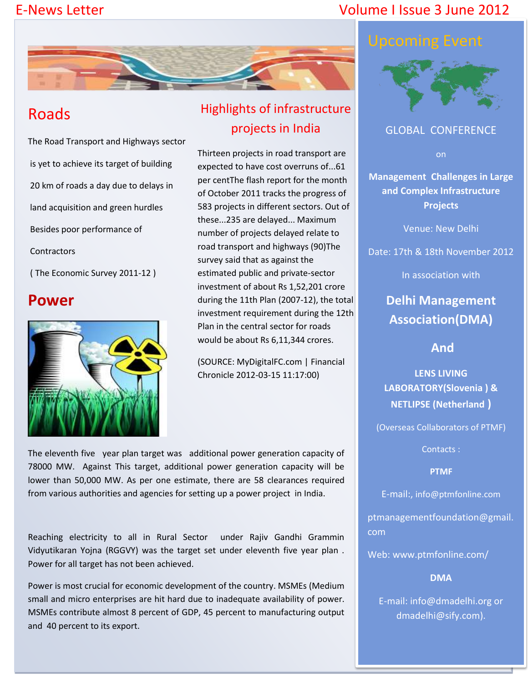# E-News Letter Volume I Issue 3 June 2012



# Roads

The Road Transport and Highways sector is yet to achieve its target of building 20 km of roads a day due to delays in land acquisition and green hurdles Besides poor performance of **Contractors** 

( The Economic Survey 2011-12 )

# **Power**



# Highlights of infrastructure projects in India

Thirteen projects in road transport are expected to have cost overruns of...61 per centThe flash report for the month of October 2011 tracks the progress of 583 projects in different sectors. Out of these...235 are delayed... Maximum number of projects delayed relate to road transport and highways (90)The survey said that as against the estimated public and private-sector investment of about Rs 1,52,201 crore during the 11th Plan (2007-12), the total investment requirement during the 12th Plan in the central sector for roads would be about Rs 6,11,344 crores.

(SOURCE: MyDigitalFC.com | Financial Chronicle 2012-03-15 11:17:00)

The eleventh five year plan target was additional power generation capacity of 78000 MW. Against This target, additional power generation capacity will be lower than 50,000 MW. As per one estimate, there are 58 clearances required from various authorities and agencies for setting up a power project in India.

Reaching electricity to all in Rural Sector under Rajiv Gandhi Grammin Vidyutikaran Yojna (RGGVY) was the target set under eleventh five year plan . Power for all target has not been achieved.

Power is most crucial for economic development of the country. MSMEs (Medium small and micro enterprises are hit hard due to inadequate availability of power. MSMEs contribute almost 8 percent of GDP, 45 percent to manufacturing output and 40 percent to its export.



## GLOBAL CONFERENCE

on

**Management Challenges in Large and Complex Infrastructure Projects**

Venue: New Delhi

Date: 17th & 18th November 2012

In association with

**Delhi Management Association(DMA)**

**And**

**LENS LIVING LABORATORY(Slovenia ) & NETLIPSE (Netherland )**

(Overseas Collaborators of PTMF)

Contacts :

**PTMF**

E-mail:, info@ptmfonline.com

ptmanagementfoundation@gmail. com

Web: www.ptmfonline.com/

**DMA**

E-mail: info@dmadelhi.org or dmadelhi@sify.com).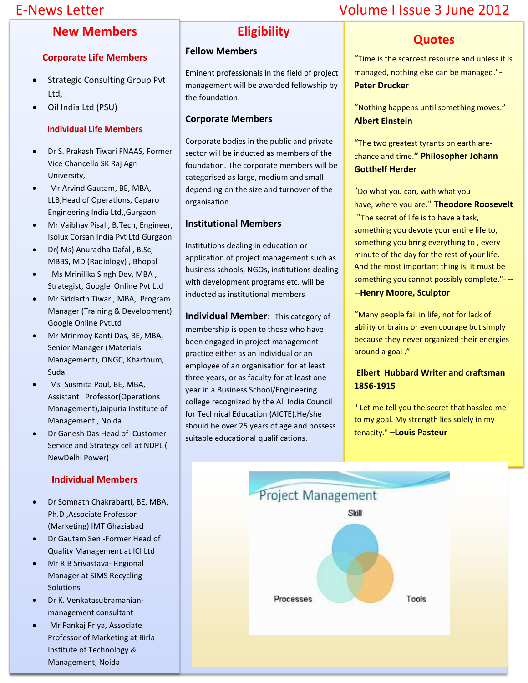## **New Members**

#### **Corporate Life Members**

- Strategic Consulting Group Pvt Ltd,
- Oil India Ltd (PSU)

#### **Individual Life Members**

- Dr S. Prakash Tiwari FNAAS, Former Vice Chancello SK Raj Agri University,
- Mr Arvind Gautam, BE, MBA, LLB,Head of Operations, Caparo Engineering India Ltd,,Gurgaon
- Mr Vaibhav Pisal , B.Tech, Engineer, Isolux Corsan India Pvt Ltd Gurgaon
- Dr( Ms) Anuradha Dafal , B.Sc, MBBS, MD (Radiology) , Bhopal
- Ms Mrinilika Singh Dev, MBA , Strategist, Google Online Pvt Ltd
- Mr Siddarth Tiwari, MBA, Program Manager (Training & Development) Google Online PvtLtd
- Mr Mrinmoy Kanti Das, BE, MBA, Senior Manager (Materials Management), ONGC, Khartoum, Suda
- Ms Susmita Paul, BE, MBA, Assistant Professor(Operations Management),Jaipuria Institute of Management , Noida
- Dr Ganesh Das Head of Customer Service and Strategy cell at NDPL ( NewDelhi Power)

#### **Individual Members**

- Dr Somnath Chakrabarti, BE, MBA, Ph.D ,Associate Professor (Marketing) IMT Ghaziabad
- Dr Gautam Sen -Former Head of Quality Management at ICI Ltd
- Mr R.B Srivastava- Regional Manager at SIMS Recycling Solutions
- Dr K. Venkatasubramanianmanagement consultant
- Mr Pankaj Priya, Associate Professor of Marketing at Birla Institute of Technology & Management, Noida

# **Eligibility**

#### **Fellow Members**

Eminent professionals in the field of project management will be awarded fellowship by the foundation.

#### **Corporate Members**

Corporate bodies in the public and private sector will be inducted as members of the foundation. The corporate members will be categorised as large, medium and small depending on the size and turnover of the organisation.

#### **Institutional Members**

Institutions dealing in education or application of project management such as business schools, NGOs, institutions dealing with development programs etc. will be inducted as institutional members

**Individual Member**: This category of membership is open to those who have been engaged in project management practice either as an individual or an employee of an organisation for at least three years, or as faculty for at least one year in a Business School/Engineering college recognized by the All India Council for Technical Education (AICTE).He/she should be over 25 years of age and possess suitable educational qualifications.

# E-News Letter Volume I Issue 3 June 2012

## **Quotes**

"Time is the scarcest resource and unless it is managed, nothing else can be managed."- **Peter Drucker**

"Nothing happens until something moves." **Albert Einstein**

"The two greatest tyrants on earth arechance and time.**" Philosopher Johann Gotthelf Herder**

"Do what you can, with what you have, where you are." **Theodore Roosevelt**

"The secret of life is to have a task, something you devote your entire life to, something you bring everything to , every minute of the day for the rest of your life. And the most important thing is, it must be something you cannot possibly complete."- --

#### --**Henry Moore, Sculptor**

"Many people fail in life, not for lack of ability or brains or even courage but simply because they never organized their energies around a goal ."

#### **Elbert Hubbard Writer and craftsman 1856-1915**

" Let me tell you the secret that hassled me to my goal. My strength lies solely in my tenacity." **–Louis Pasteur**